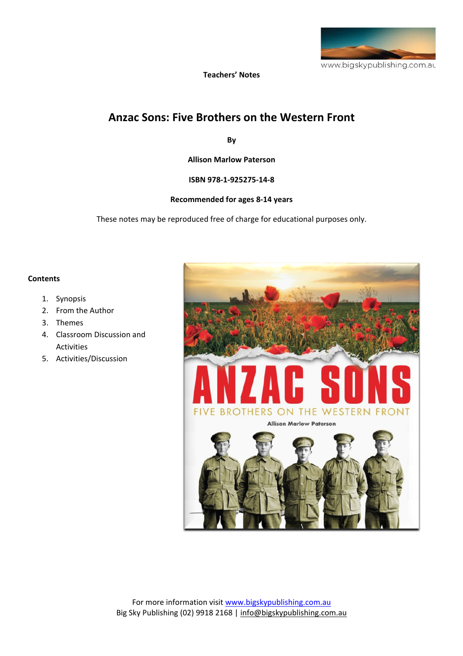

**Teachers' Notes** 

# **Anzac Sons: Five Brothers on the Western Front**

**By** 

**Allison Marlow Paterson**

**ISBN 978‐1‐925275‐14‐8**

#### **Recommended for ages 8‐14 years**

These notes may be reproduced free of charge for educational purposes only.

#### **Contents**

- 1. Synopsis
- 2. From the Author
- 3. Themes
- 4. Classroom Discussion and Activities
- 5. Activities/Discussion

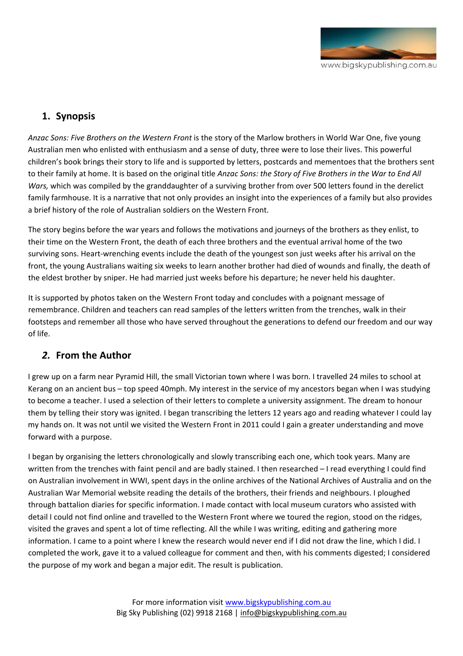

## **1. Synopsis**

*Anzac Sons: Five Brothers on the Western Front* is the story of the Marlow brothers in World War One, five young Australian men who enlisted with enthusiasm and a sense of duty, three were to lose their lives. This powerful children's book brings their story to life and is supported by letters, postcards and mementoes that the brothers sent to their family at home. It is based on the original title *Anzac Sons: the Story of Five Brothers in the War to End All Wars,* which was compiled by the granddaughter of a surviving brother from over 500 letters found in the derelict family farmhouse. It is a narrative that not only provides an insight into the experiences of a family but also provides a brief history of the role of Australian soldiers on the Western Front.

The story begins before the war years and follows the motivations and journeys of the brothers as they enlist, to their time on the Western Front, the death of each three brothers and the eventual arrival home of the two surviving sons. Heart-wrenching events include the death of the youngest son just weeks after his arrival on the front, the young Australians waiting six weeks to learn another brother had died of wounds and finally, the death of the eldest brother by sniper. He had married just weeks before his departure; he never held his daughter.

It is supported by photos taken on the Western Front today and concludes with a poignant message of remembrance. Children and teachers can read samples of the letters written from the trenches, walk in their footsteps and remember all those who have served throughout the generations to defend our freedom and our way of life.

# *2.* **From the Author**

I grew up on a farm near Pyramid Hill, the small Victorian town where I was born. I travelled 24 miles to school at Kerang on an ancient bus – top speed 40mph. My interest in the service of my ancestors began when I was studying to become a teacher. I used a selection of their letters to complete a university assignment. The dream to honour them by telling their story was ignited. I began transcribing the letters 12 years ago and reading whatever I could lay my hands on. It was not until we visited the Western Front in 2011 could I gain a greater understanding and move forward with a purpose.

I began by organising the letters chronologically and slowly transcribing each one, which took years. Many are written from the trenches with faint pencil and are badly stained. I then researched - I read everything I could find on Australian involvement in WWI, spent days in the online archives of the National Archives of Australia and on the Australian War Memorial website reading the details of the brothers, their friends and neighbours. I ploughed through battalion diaries for specific information. I made contact with local museum curators who assisted with detail I could not find online and travelled to the Western Front where we toured the region, stood on the ridges, visited the graves and spent a lot of time reflecting. All the while I was writing, editing and gathering more information. I came to a point where I knew the research would never end if I did not draw the line, which I did. I completed the work, gave it to a valued colleague for comment and then, with his comments digested; I considered the purpose of my work and began a major edit. The result is publication.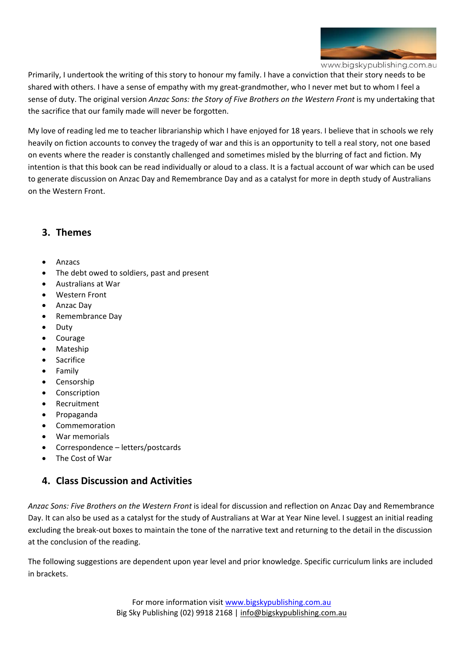

www.bigskypublishing.com.au

Primarily, I undertook the writing of this story to honour my family. I have a conviction that their story needs to be shared with others. I have a sense of empathy with my great‐grandmother, who I never met but to whom I feel a sense of duty. The original version *Anzac Sons: the Story of Five Brothers on the Western Front* is my undertaking that the sacrifice that our family made will never be forgotten.

My love of reading led me to teacher librarianship which I have enjoyed for 18 years. I believe that in schools we rely heavily on fiction accounts to convey the tragedy of war and this is an opportunity to tell a real story, not one based on events where the reader is constantly challenged and sometimes misled by the blurring of fact and fiction. My intention is that this book can be read individually or aloud to a class. It is a factual account of war which can be used to generate discussion on Anzac Day and Remembrance Day and as a catalyst for more in depth study of Australians on the Western Front.

#### **3. Themes**

- Anzacs
- The debt owed to soldiers, past and present
- Australians at War
- Western Front
- Anzac Day
- Remembrance Day
- Duty
- Courage
- Mateship
- Sacrifice
- **Family**
- **Censorship**
- **Conscription**
- **Recruitment**
- Propaganda
- Commemoration
- War memorials
- Correspondence letters/postcards
- The Cost of War

#### **4. Class Discussion and Activities**

*Anzac Sons: Five Brothers on the Western Front* is ideal for discussion and reflection on Anzac Day and Remembrance Day. It can also be used as a catalyst for the study of Australians at War at Year Nine level. I suggest an initial reading excluding the break‐out boxes to maintain the tone of the narrative text and returning to the detail in the discussion at the conclusion of the reading.

The following suggestions are dependent upon year level and prior knowledge. Specific curriculum links are included in brackets.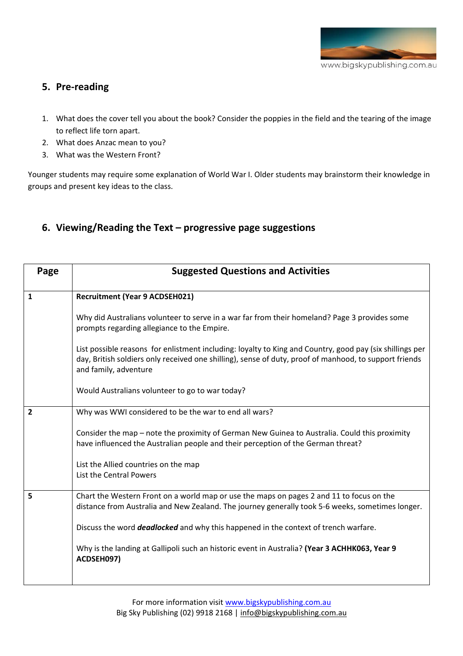

## **5. Pre‐reading**

- 1. What does the cover tell you about the book? Consider the poppies in the field and the tearing of the image to reflect life torn apart.
- 2. What does Anzac mean to you?
- 3. What was the Western Front?

Younger students may require some explanation of World War I. Older students may brainstorm their knowledge in groups and present key ideas to the class.

# **6. Viewing/Reading the Text – progressive page suggestions**

| Page           | <b>Suggested Questions and Activities</b>                                                                                                                                                                                                   |
|----------------|---------------------------------------------------------------------------------------------------------------------------------------------------------------------------------------------------------------------------------------------|
| $\mathbf{1}$   | <b>Recruitment (Year 9 ACDSEH021)</b>                                                                                                                                                                                                       |
|                | Why did Australians volunteer to serve in a war far from their homeland? Page 3 provides some<br>prompts regarding allegiance to the Empire.                                                                                                |
|                | List possible reasons for enlistment including: loyalty to King and Country, good pay (six shillings per<br>day, British soldiers only received one shilling), sense of duty, proof of manhood, to support friends<br>and family, adventure |
|                | Would Australians volunteer to go to war today?                                                                                                                                                                                             |
| $\overline{2}$ | Why was WWI considered to be the war to end all wars?                                                                                                                                                                                       |
|                | Consider the map – note the proximity of German New Guinea to Australia. Could this proximity<br>have influenced the Australian people and their perception of the German threat?                                                           |
|                | List the Allied countries on the map<br>List the Central Powers                                                                                                                                                                             |
| 5              | Chart the Western Front on a world map or use the maps on pages 2 and 11 to focus on the<br>distance from Australia and New Zealand. The journey generally took 5-6 weeks, sometimes longer.                                                |
|                | Discuss the word <b>deadlocked</b> and why this happened in the context of trench warfare.                                                                                                                                                  |
|                | Why is the landing at Gallipoli such an historic event in Australia? (Year 3 ACHHK063, Year 9<br>ACDSEH097)                                                                                                                                 |
|                |                                                                                                                                                                                                                                             |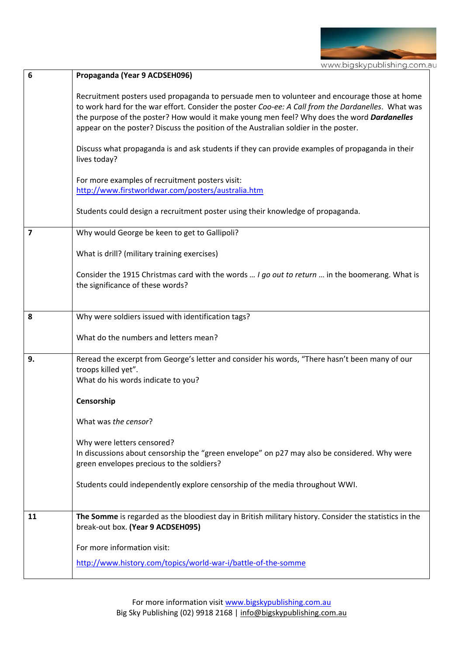

| 6              | Propaganda (Year 9 ACDSEH096)                                                                                                                                                                                                                                                                                                                                                           |
|----------------|-----------------------------------------------------------------------------------------------------------------------------------------------------------------------------------------------------------------------------------------------------------------------------------------------------------------------------------------------------------------------------------------|
|                | Recruitment posters used propaganda to persuade men to volunteer and encourage those at home<br>to work hard for the war effort. Consider the poster Coo-ee: A Call from the Dardanelles. What was<br>the purpose of the poster? How would it make young men feel? Why does the word Dardanelles<br>appear on the poster? Discuss the position of the Australian soldier in the poster. |
|                | Discuss what propaganda is and ask students if they can provide examples of propaganda in their<br>lives today?                                                                                                                                                                                                                                                                         |
|                | For more examples of recruitment posters visit:<br>http://www.firstworldwar.com/posters/australia.htm                                                                                                                                                                                                                                                                                   |
|                | Students could design a recruitment poster using their knowledge of propaganda.                                                                                                                                                                                                                                                                                                         |
| $\overline{7}$ | Why would George be keen to get to Gallipoli?                                                                                                                                                                                                                                                                                                                                           |
|                | What is drill? (military training exercises)                                                                                                                                                                                                                                                                                                                                            |
|                | Consider the 1915 Christmas card with the words  I go out to return  in the boomerang. What is<br>the significance of these words?                                                                                                                                                                                                                                                      |
| 8              | Why were soldiers issued with identification tags?                                                                                                                                                                                                                                                                                                                                      |
|                | What do the numbers and letters mean?                                                                                                                                                                                                                                                                                                                                                   |
| 9.             | Reread the excerpt from George's letter and consider his words, "There hasn't been many of our<br>troops killed yet".<br>What do his words indicate to you?                                                                                                                                                                                                                             |
|                | Censorship                                                                                                                                                                                                                                                                                                                                                                              |
|                | What was the censor?                                                                                                                                                                                                                                                                                                                                                                    |
|                | Why were letters censored?                                                                                                                                                                                                                                                                                                                                                              |
|                | In discussions about censorship the "green envelope" on p27 may also be considered. Why were<br>green envelopes precious to the soldiers?                                                                                                                                                                                                                                               |
|                | Students could independently explore censorship of the media throughout WWI.                                                                                                                                                                                                                                                                                                            |
| 11             | The Somme is regarded as the bloodiest day in British military history. Consider the statistics in the<br>break-out box. (Year 9 ACDSEH095)                                                                                                                                                                                                                                             |
|                | For more information visit:                                                                                                                                                                                                                                                                                                                                                             |
|                | http://www.history.com/topics/world-war-i/battle-of-the-somme                                                                                                                                                                                                                                                                                                                           |
|                |                                                                                                                                                                                                                                                                                                                                                                                         |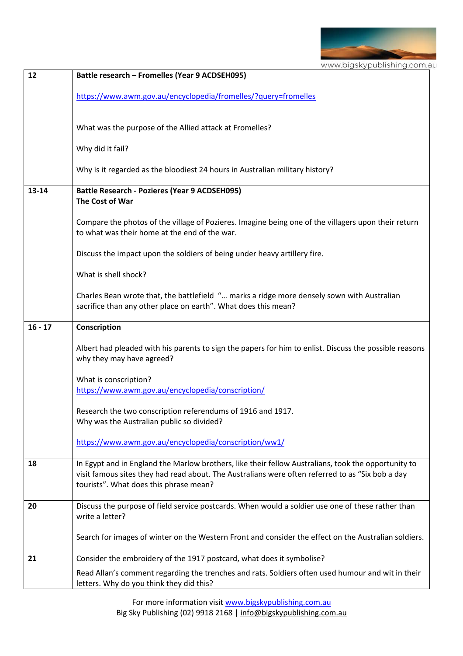

| 12        | Battle research - Fromelles (Year 9 ACDSEH095)                                                                                                                                                                                                    |
|-----------|---------------------------------------------------------------------------------------------------------------------------------------------------------------------------------------------------------------------------------------------------|
|           | https://www.awm.gov.au/encyclopedia/fromelles/?query=fromelles                                                                                                                                                                                    |
|           | What was the purpose of the Allied attack at Fromelles?                                                                                                                                                                                           |
|           | Why did it fail?                                                                                                                                                                                                                                  |
|           | Why is it regarded as the bloodiest 24 hours in Australian military history?                                                                                                                                                                      |
| 13-14     | <b>Battle Research - Pozieres (Year 9 ACDSEH095)</b><br>The Cost of War                                                                                                                                                                           |
|           | Compare the photos of the village of Pozieres. Imagine being one of the villagers upon their return<br>to what was their home at the end of the war.                                                                                              |
|           | Discuss the impact upon the soldiers of being under heavy artillery fire.                                                                                                                                                                         |
|           | What is shell shock?                                                                                                                                                                                                                              |
|           | Charles Bean wrote that, the battlefield " marks a ridge more densely sown with Australian<br>sacrifice than any other place on earth". What does this mean?                                                                                      |
| $16 - 17$ | Conscription                                                                                                                                                                                                                                      |
|           | Albert had pleaded with his parents to sign the papers for him to enlist. Discuss the possible reasons<br>why they may have agreed?                                                                                                               |
|           | What is conscription?                                                                                                                                                                                                                             |
|           | https://www.awm.gov.au/encyclopedia/conscription/                                                                                                                                                                                                 |
|           | Research the two conscription referendums of 1916 and 1917.<br>Why was the Australian public so divided?                                                                                                                                          |
|           | https://www.awm.gov.au/encyclopedia/conscription/ww1/                                                                                                                                                                                             |
| 18        | In Egypt and in England the Marlow brothers, like their fellow Australians, took the opportunity to<br>visit famous sites they had read about. The Australians were often referred to as "Six bob a day<br>tourists". What does this phrase mean? |
| 20        | Discuss the purpose of field service postcards. When would a soldier use one of these rather than<br>write a letter?                                                                                                                              |
|           | Search for images of winter on the Western Front and consider the effect on the Australian soldiers.                                                                                                                                              |
| 21        | Consider the embroidery of the 1917 postcard, what does it symbolise?                                                                                                                                                                             |
|           | Read Allan's comment regarding the trenches and rats. Soldiers often used humour and wit in their<br>letters. Why do you think they did this?                                                                                                     |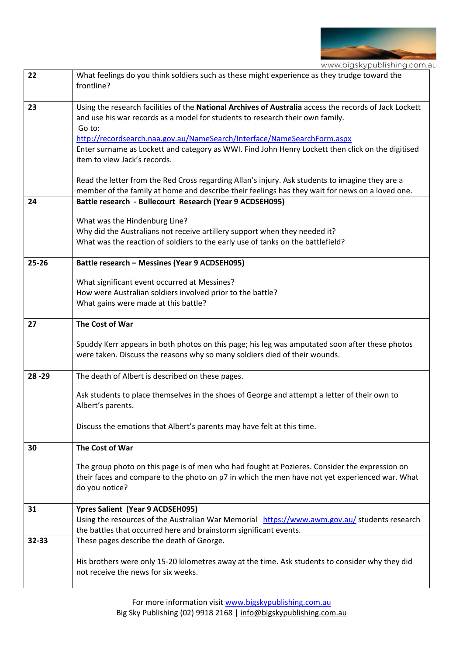

|           | www.bigskypublishing.com.a                                                                                                                                                                                                                                                                                                                                                                                                                                                                                           |
|-----------|----------------------------------------------------------------------------------------------------------------------------------------------------------------------------------------------------------------------------------------------------------------------------------------------------------------------------------------------------------------------------------------------------------------------------------------------------------------------------------------------------------------------|
| 22        | What feelings do you think soldiers such as these might experience as they trudge toward the<br>frontline?                                                                                                                                                                                                                                                                                                                                                                                                           |
| 23        | Using the research facilities of the National Archives of Australia access the records of Jack Lockett<br>and use his war records as a model for students to research their own family.<br>Go to:<br>http://recordsearch.naa.gov.au/NameSearch/Interface/NameSearchForm.aspx<br>Enter surname as Lockett and category as WWI. Find John Henry Lockett then click on the digitised<br>item to view Jack's records.<br>Read the letter from the Red Cross regarding Allan's injury. Ask students to imagine they are a |
|           | member of the family at home and describe their feelings has they wait for news on a loved one.                                                                                                                                                                                                                                                                                                                                                                                                                      |
| 24        | Battle research - Bullecourt Research (Year 9 ACDSEH095)                                                                                                                                                                                                                                                                                                                                                                                                                                                             |
|           | What was the Hindenburg Line?<br>Why did the Australians not receive artillery support when they needed it?<br>What was the reaction of soldiers to the early use of tanks on the battlefield?                                                                                                                                                                                                                                                                                                                       |
| $25 - 26$ | Battle research - Messines (Year 9 ACDSEH095)                                                                                                                                                                                                                                                                                                                                                                                                                                                                        |
|           | What significant event occurred at Messines?<br>How were Australian soldiers involved prior to the battle?<br>What gains were made at this battle?                                                                                                                                                                                                                                                                                                                                                                   |
| 27        | The Cost of War                                                                                                                                                                                                                                                                                                                                                                                                                                                                                                      |
|           | Spuddy Kerr appears in both photos on this page; his leg was amputated soon after these photos<br>were taken. Discuss the reasons why so many soldiers died of their wounds.                                                                                                                                                                                                                                                                                                                                         |
| 28 - 29   | The death of Albert is described on these pages.                                                                                                                                                                                                                                                                                                                                                                                                                                                                     |
|           | Ask students to place themselves in the shoes of George and attempt a letter of their own to<br>Albert's parents.                                                                                                                                                                                                                                                                                                                                                                                                    |
|           | Discuss the emotions that Albert's parents may have felt at this time.                                                                                                                                                                                                                                                                                                                                                                                                                                               |
| 30        | The Cost of War                                                                                                                                                                                                                                                                                                                                                                                                                                                                                                      |
|           | The group photo on this page is of men who had fought at Pozieres. Consider the expression on<br>their faces and compare to the photo on p7 in which the men have not yet experienced war. What<br>do you notice?                                                                                                                                                                                                                                                                                                    |
| 31        | Ypres Salient (Year 9 ACDSEH095)<br>Using the resources of the Australian War Memorial https://www.awm.gov.au/ students research<br>the battles that occurred here and brainstorm significant events.                                                                                                                                                                                                                                                                                                                |
| 32-33     | These pages describe the death of George.                                                                                                                                                                                                                                                                                                                                                                                                                                                                            |
|           | His brothers were only 15-20 kilometres away at the time. Ask students to consider why they did<br>not receive the news for six weeks.                                                                                                                                                                                                                                                                                                                                                                               |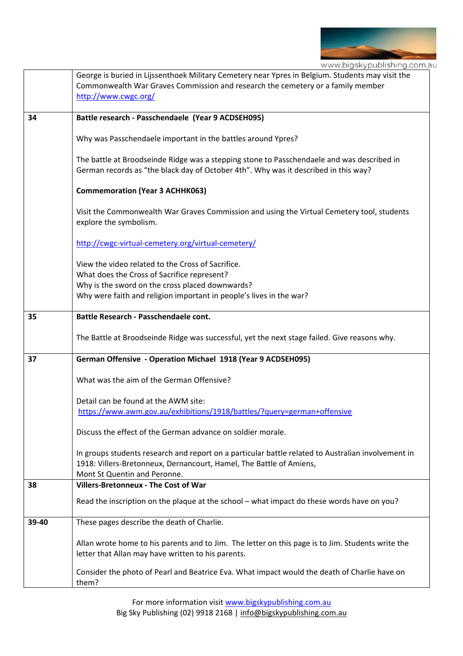

www.bigskypublishing.com.au

|       | George is buried in Lijssenthoek Military Cemetery near Ypres in Belgium. Students may visit the<br>Commonwealth War Graves Commission and research the cemetery or a family member<br>http://www.cwgc.org/                |
|-------|----------------------------------------------------------------------------------------------------------------------------------------------------------------------------------------------------------------------------|
| 34    | Battle research - Passchendaele (Year 9 ACDSEH095)                                                                                                                                                                         |
|       | Why was Passchendaele important in the battles around Ypres?                                                                                                                                                               |
|       | The battle at Broodseinde Ridge was a stepping stone to Passchendaele and was described in<br>German records as "the black day of October 4th". Why was it described in this way?                                          |
|       | <b>Commemoration (Year 3 ACHHK063)</b>                                                                                                                                                                                     |
|       | Visit the Commonwealth War Graves Commission and using the Virtual Cemetery tool, students<br>explore the symbolism.                                                                                                       |
|       | http://cwgc-virtual-cemetery.org/virtual-cemetery/                                                                                                                                                                         |
|       | View the video related to the Cross of Sacrifice.<br>What does the Cross of Sacrifice represent?<br>Why is the sword on the cross placed downwards?<br>Why were faith and religion important in people's lives in the war? |
| 35    | Battle Research - Passchendaele cont.                                                                                                                                                                                      |
|       | The Battle at Broodseinde Ridge was successful, yet the next stage failed. Give reasons why.                                                                                                                               |
| 37    | German Offensive - Operation Michael 1918 (Year 9 ACDSEH095)                                                                                                                                                               |
|       | What was the aim of the German Offensive?                                                                                                                                                                                  |
|       | Detail can be found at the AWM site:<br>https://www.awm.gov.au/exhibitions/1918/battles/?query=german+offensive                                                                                                            |
|       | Discuss the effect of the German advance on soldier morale.                                                                                                                                                                |
|       | In groups students research and report on a particular battle related to Australian involvement in<br>1918: Villers-Bretonneux, Dernancourt, Hamel, The Battle of Amiens,<br>Mont St Quentin and Peronne.                  |
| 38    | <b>Villers-Bretonneux - The Cost of War</b>                                                                                                                                                                                |
|       | Read the inscription on the plaque at the school – what impact do these words have on you?                                                                                                                                 |
| 39-40 | These pages describe the death of Charlie.                                                                                                                                                                                 |
|       | Allan wrote home to his parents and to Jim. The letter on this page is to Jim. Students write the<br>letter that Allan may have written to his parents.                                                                    |
|       | Consider the photo of Pearl and Beatrice Eva. What impact would the death of Charlie have on<br>them?                                                                                                                      |